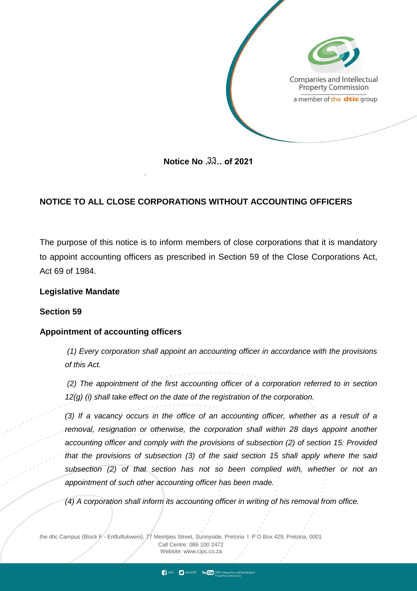

**Notice No …… of 2021** 33

# **NOTICE TO ALL CLOSE CORPORATIONS WITHOUT ACCOUNTING OFFICERS**

The purpose of this notice is to inform members of close corporations that it is mandatory to appoint accounting officers as prescribed in Section 59 of the Close Corporations Act, Act 69 of 1984.

### **Legislative Mandate**

### **Section 59**

### **Appointment of accounting officers**

*(1) Every corporation shall appoint an accounting officer in accordance with the provisions of this Act.*

*(2) The appointment of the first accounting officer of a corporation referred to in section 12(g) (i) shall take effect on the date of the registration of the corporation.* 

*(3) If a vacancy occurs in the office of an accounting officer, whether as a result of a removal, resignation or otherwise, the corporation shall within 28 days appoint another accounting officer and comply with the provisions of subsection (2) of section 15: Provided that the provisions of subsection (3) of the said section 15 shall apply where the said subsection (2) of that section has not so been complied with, whether or not an appointment of such other accounting officer has been made.*

*(4) A corporation shall inform its accounting officer in writing of his removal from office.* 

**CIPC** etheCIPC You Tube CIPC Companies and inteller

the dtic Campus (Block F - Entfutfukweni), 77 Meintjies Street, Sunnyside, Pretoria l P O Box 429, Pretoria, 0001 Call Centre: 086 100 2472 Websi[te: www.cipc.co.za](http://www.cipc.co.za/)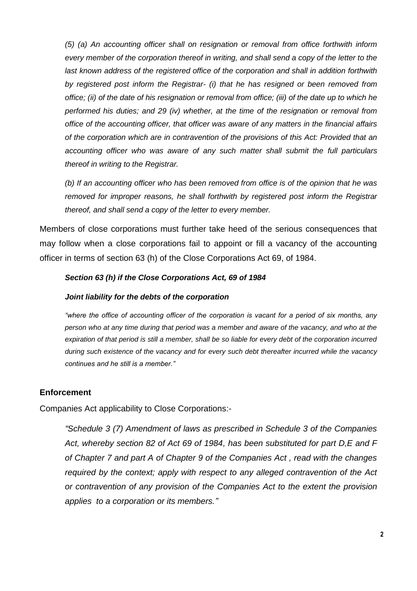*(5) (a) An accounting officer shall on resignation or removal from office forthwith inform every member of the corporation thereof in writing, and shall send a copy of the letter to the*  last known address of the registered office of the corporation and shall in addition forthwith *by registered post inform the Registrar- (i) that he has resigned or been removed from office; (ii) of the date of his resignation or removal from office; (iii) of the date up to which he performed his duties; and 29 (iv) whether, at the time of the resignation or removal from office of the accounting officer, that officer was aware of any matters in the financial affairs of the corporation which are in contravention of the provisions of this Act: Provided that an accounting officer who was aware of any such matter shall submit the full particulars thereof in writing to the Registrar.* 

*(b) If an accounting officer who has been removed from office is of the opinion that he was removed for improper reasons, he shall forthwith by registered post inform the Registrar thereof, and shall send a copy of the letter to every member.*

Members of close corporations must further take heed of the serious consequences that may follow when a close corporations fail to appoint or fill a vacancy of the accounting officer in terms of section 63 (h) of the Close Corporations Act 69, of 1984.

### *Section 63 (h) if the Close Corporations Act, 69 of 1984*

### *Joint liability for the debts of the corporation*

*"where the office of accounting officer of the corporation is vacant for a period of six months, any person who at any time during that period was a member and aware of the vacancy, and who at the expiration of that period is still a member, shall be so liable for every debt of the corporation incurred during such existence of the vacancy and for every such debt thereafter incurred while the vacancy continues and he still is a member."*

## **Enforcement**

Companies Act applicability to Close Corporations:-

*"Schedule 3 (7) Amendment of laws as prescribed in Schedule 3 of the Companies Act, whereby section 82 of Act 69 of 1984, has been substituted for part D,E and F of Chapter 7 and part A of Chapter 9 of the Companies Act , read with the changes required by the context; apply with respect to any alleged contravention of the Act or contravention of any provision of the Companies Act to the extent the provision applies to a corporation or its members."*